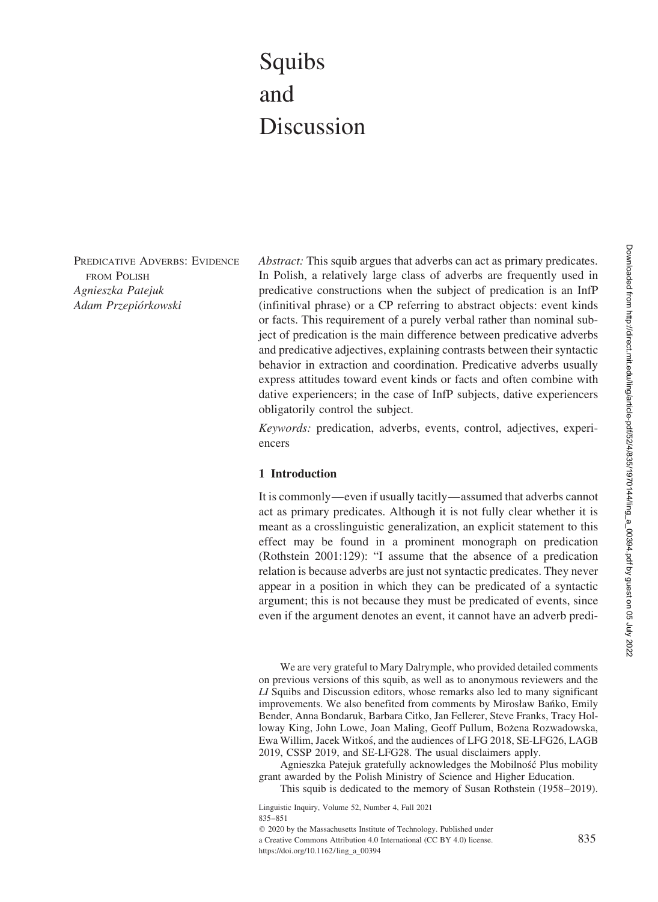# Squibs and Discussion

PREDICATIVE ADVERBS: EVIDENCE FROM POLISH *Agnieszka Patejuk Adam Przepio´rkowski*

*Abstract:* This squib argues that adverbs can act as primary predicates. In Polish, a relatively large class of adverbs are frequently used in predicative constructions when the subject of predication is an InfP (infinitival phrase) or a CP referring to abstract objects: event kinds or facts. This requirement of a purely verbal rather than nominal subject of predication is the main difference between predicative adverbs and predicative adjectives, explaining contrasts between their syntactic behavior in extraction and coordination. Predicative adverbs usually express attitudes toward event kinds or facts and often combine with dative experiencers; in the case of InfP subjects, dative experiencers obligatorily control the subject.

*Keywords:* predication, adverbs, events, control, adjectives, experiencers

#### **1 Introduction**

It is commonly—even if usually tacitly—assumed that adverbs cannot act as primary predicates. Although it is not fully clear whether it is meant as a crosslinguistic generalization, an explicit statement to this effect may be found in a prominent monograph on predication (Rothstein 2001:129): "I assume that the absence of a predication relation is because adverbs are just not syntactic predicates. They never appear in a position in which they can be predicated of a syntactic argument; this is not because they must be predicated of events, since even if the argument denotes an event, it cannot have an adverb predi-

We are very grateful to Mary Dalrymple, who provided detailed comments on previous versions of this squib, as well as to anonymous reviewers and the *LI* Squibs and Discussion editors, whose remarks also led to many significant improvements. We also benefited from comments by Mirosław Baníko, Emily Bender, Anna Bondaruk, Barbara Citko, Jan Fellerer, Steve Franks, Tracy Holloway King, John Lowe, Joan Maling, Geoff Pullum, Bożena Rozwadowska, Ewa Willim, Jacek Witkos´, and the audiences of LFG 2018, SE-LFG26, LAGB 2019, CSSP 2019, and SE-LFG28. The usual disclaimers apply.

Agnieszka Patejuk gratefully acknowledges the Mobilność Plus mobility grant awarded by the Polish Ministry of Science and Higher Education.

This squib is dedicated to the memory of Susan Rothstein (1958–2019).

Linguistic Inquiry, Volume 52, Number 4, Fall 2021 835–851

 $©$  2020 by the Massachusetts Institute of Technology. Published under

a Creative Commons Attribution 4.0 International (CC BY 4.0) license. https://doi.org/10.1162/ling\_a\_00394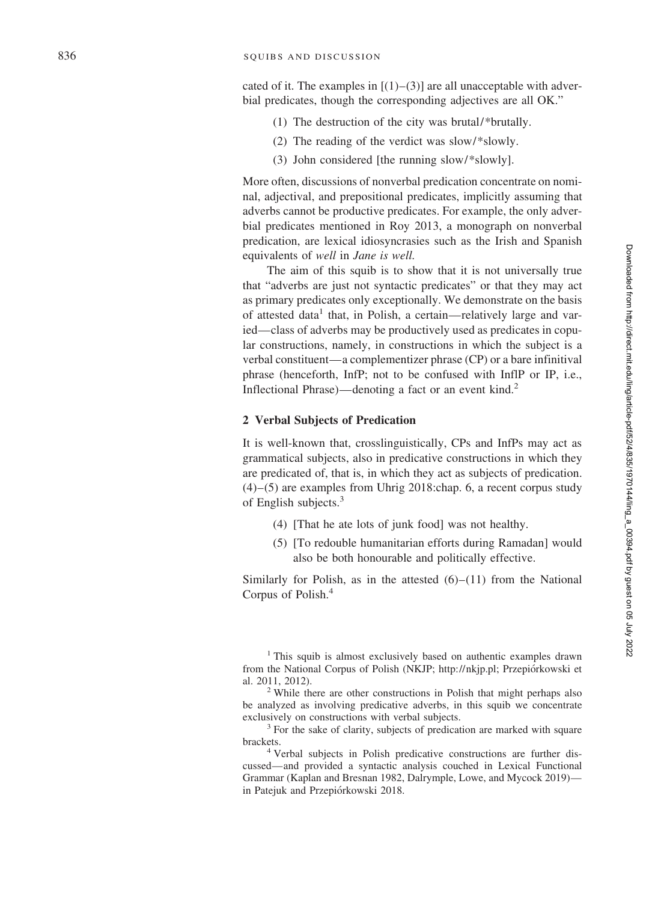cated of it. The examples in  $[(1)-(3)]$  are all unacceptable with adverbial predicates, though the corresponding adjectives are all OK."

- (1) The destruction of the city was brutal/\*brutally.
- (2) The reading of the verdict was slow/\*slowly.
- (3) John considered [the running slow/\*slowly].

More often, discussions of nonverbal predication concentrate on nominal, adjectival, and prepositional predicates, implicitly assuming that adverbs cannot be productive predicates. For example, the only adverbial predicates mentioned in Roy 2013, a monograph on nonverbal predication, are lexical idiosyncrasies such as the Irish and Spanish equivalents of *well* in *Jane is well.*

The aim of this squib is to show that it is not universally true that "adverbs are just not syntactic predicates" or that they may act as primary predicates only exceptionally. We demonstrate on the basis of attested data<sup>1</sup> that, in Polish, a certain—relatively large and varied—class of adverbs may be productively used as predicates in copular constructions, namely, in constructions in which the subject is a verbal constituent—a complementizer phrase (CP) or a bare infinitival phrase (henceforth, InfP; not to be confused with InflP or IP, i.e., Inflectional Phrase)—denoting a fact or an event kind. 2

#### **2 Verbal Subjects of Predication**

It is well-known that, crosslinguistically, CPs and InfPs may act as grammatical subjects, also in predicative constructions in which they are predicated of, that is, in which they act as subjects of predication. (4)–(5) are examples from Uhrig 2018:chap. 6, a recent corpus study of English subjects.<sup>3</sup>

- (4) [That he ate lots of junk food] was not healthy.
- (5) [To redouble humanitarian efforts during Ramadan] would also be both honourable and politically effective.

Similarly for Polish, as in the attested  $(6)$ – $(11)$  from the National Corpus of Polish. 4

<sup>1</sup> This squib is almost exclusively based on authentic examples drawn from the National Corpus of Polish (NKJP; http://nkjp.pl; Przepiórkowski et al. 2011, 2012). <sup>2</sup> While there are other constructions in Polish that might perhaps also

be analyzed as involving predicative adverbs, in this squib we concentrate exclusively on constructions with verbal subjects.<br><sup>3</sup> For the sake of clarity, subjects of predication are marked with square

brackets. <sup>4</sup> Verbal subjects in Polish predicative constructions are further dis-

cussed—and provided a syntactic analysis couched in Lexical Functional Grammar (Kaplan and Bresnan 1982, Dalrymple, Lowe, and Mycock 2019) in Patejuk and Przepiórkowski 2018.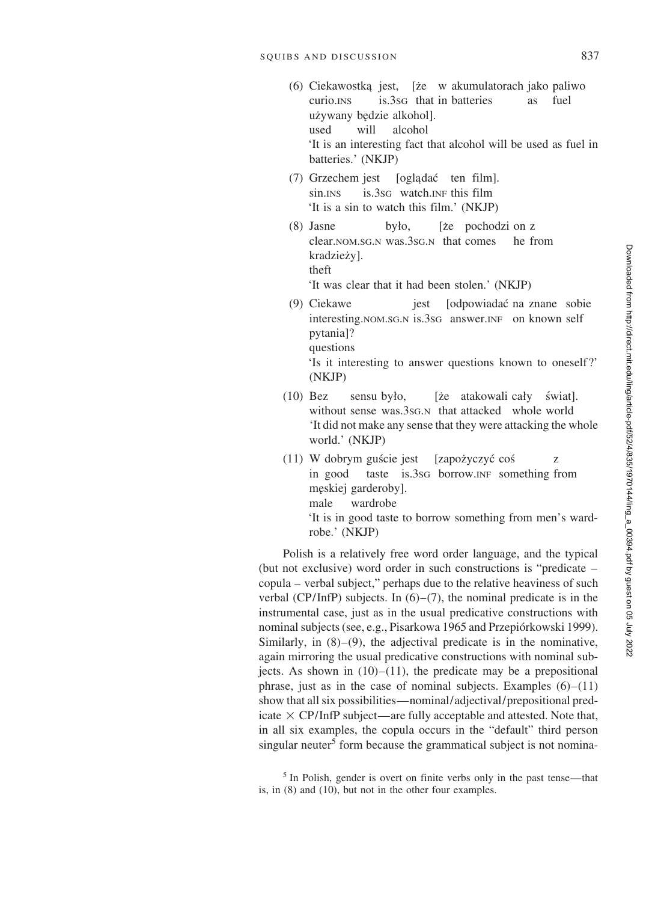- (6) Ciekawostka jest, [że w akumulatorach jako paliwo curio.INS is.3SG that in batteries as fuel używany będzie alkohol]. used will alcohol 'It is an interesting fact that alcohol will be used as fuel in batteries.' (NKJP)
- (7) Grzechem jest [oglądać ten film]. sin.<sub>INS</sub> is.3s<sub>G</sub> watch.<sub>INF</sub> this film 'It is a sin to watch this film.' (NKJP)
- (8) Jasne było, [że pochodzi on z clear.NOM.SG.N was.3SG.N that comes he from kradzieży]. theft

'It was clear that it had been stolen.' (NKJP)

(9) Ciekawe jest [odpowiadac´ na znane sobie interesting.NOM.SG.N is.3SG answer.INF on known self pytania]? questions

'Is it interesting to answer questions known to oneself?' (NKJP)

- $(10)$  Bez sensu było, [że atakowali cały świat]. without sense was.3sG.N that attacked whole world 'It did not make any sense that they were attacking the whole world.' (NKJP)
- (11) W dobrym guście jest [zapożyczyć coś z in good taste is.3SG borrow.INF something from męskiej garderoby]. male wardrobe 'It is in good taste to borrow something from men's wardrobe.' (NKJP)

Polish is a relatively free word order language, and the typical (but not exclusive) word order in such constructions is "predicate – copula – verbal subject," perhaps due to the relative heaviness of such verbal (CP/InfP) subjects. In  $(6)$ – $(7)$ , the nominal predicate is in the instrumental case, just as in the usual predicative constructions with nominal subjects (see, e.g., Pisarkowa 1965 and Przepiórkowski 1999). Similarly, in  $(8)$ – $(9)$ , the adjectival predicate is in the nominative, again mirroring the usual predicative constructions with nominal subjects. As shown in  $(10)$ – $(11)$ , the predicate may be a prepositional phrase, just as in the case of nominal subjects. Examples  $(6)$ – $(11)$ show that all six possibilities—nominal/adjectival/prepositional predicate  $\times$  CP/InfP subject—are fully acceptable and attested. Note that, in all six examples, the copula occurs in the "default" third person singular neuter<sup>5</sup> form because the grammatical subject is not nomina-

<sup>&</sup>lt;sup>5</sup> In Polish, gender is overt on finite verbs only in the past tense—that is, in (8) and (10), but not in the other four examples.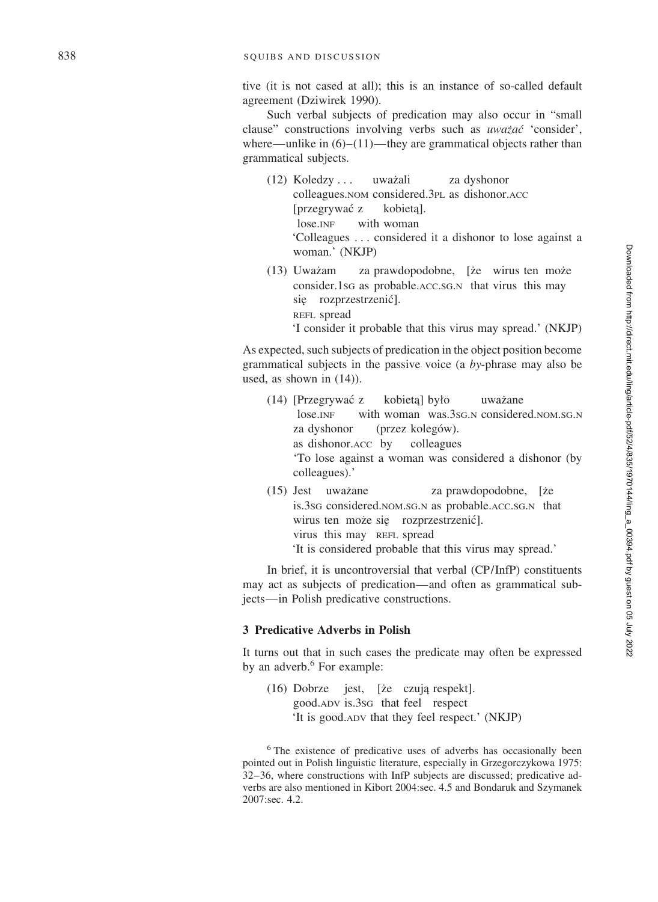tive (it is not cased at all); this is an instance of so-called default agreement (Dziwirek 1990).

Such verbal subjects of predication may also occur in "small clause" constructions involving verbs such as *uwazać* 'consider', where—unlike in  $(6)$ – $(11)$ —they are grammatical objects rather than grammatical subjects.

(12) Koledzy ... uważali za dyshonor colleagues.NOM considered.3PL as dishonor.ACC [przegrywać z kobieta]. lose.INF with woman 'Colleagues . . . considered it a dishonor to lose against a woman.' (NKJP)

(13) Uważam za prawdopodobne, [że wirus ten może consider.1sG as probable.ACC.SG.N that virus this may się rozprzestrzenić]. REFL spread

'I consider it probable that this virus may spread.' (NKJP)

As expected, such subjects of predication in the object position become grammatical subjects in the passive voice (a *by*-phrase may also be used, as shown in (14)).

- $(14)$  [Przegrywać z kobieta] było uważane lose. INF with woman was. 3s G.N considered. NOM. SG.N za dyshonor (przez kolegów). as dishonor.ACC by colleagues 'To lose against a woman was considered a dishonor (by colleagues).' (15) Jest uważane za prawdopodobne, [że
- is.3sG considered.NOM.SG.N as probable.ACC.SG.N that wirus ten może się rozprzestrzenić]. virus this may REFL spread 'It is considered probable that this virus may spread.'

In brief, it is uncontroversial that verbal (CP/InfP) constituents may act as subjects of predication—and often as grammatical subjects—in Polish predicative constructions.

# **3 Predicative Adverbs in Polish**

It turns out that in such cases the predicate may often be expressed by an adverb. <sup>6</sup> For example:

 $(16)$  Dobrze jest, [że czują respekt]. good.ADV is.3SG that feel respect 'It is good.ADV that they feel respect.' (NKJP)

<sup>6</sup> The existence of predicative uses of adverbs has occasionally been pointed out in Polish linguistic literature, especially in Grzegorczykowa 1975: 32–36, where constructions with InfP subjects are discussed; predicative adverbs are also mentioned in Kibort 2004:sec. 4.5 and Bondaruk and Szymanek 2007:sec. 4.2.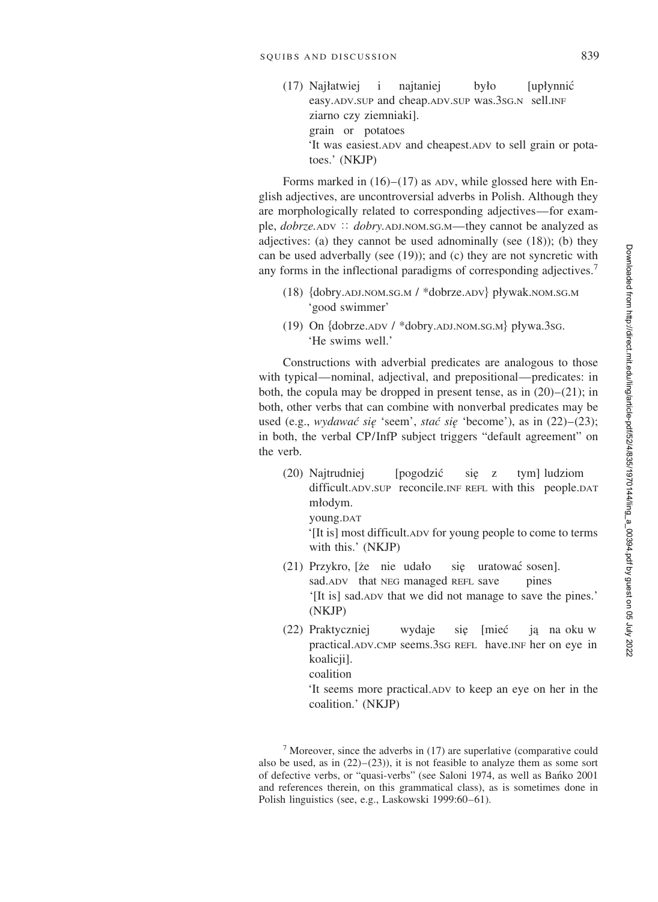$(17)$  Najłatwiej i najtaniej było [upłynnić easy.ADV.SUP and cheap.ADV.SUP was.3SG.N sell.INF ziarno czy ziemniaki]. grain or potatoes 'It was easiest.ADV and cheapest.ADV to sell grain or potatoes.' (NKJP)

Forms marked in  $(16)$ – $(17)$  as ADV, while glossed here with English adjectives, are uncontroversial adverbs in Polish. Although they are morphologically related to corresponding adjectives—for example, *dobrze*.ADV :: *dobry.ADJ.NOM.SG.M*—they cannot be analyzed as adjectives: (a) they cannot be used adnominally (see (18)); (b) they can be used adverbally (see (19)); and (c) they are not syncretic with any forms in the inflectional paradigms of corresponding adjectives.<sup>7</sup>

- (18) {dobry.ADJ.NOM.SG.M / \*dobrze.ADV} pływak.NOM.SG.M 'good swimmer'
- (19) On {dobrze.ADV / \*dobry.ADJ.NOM.SG.M} pływa.3sG. 'He swims well.'

Constructions with adverbial predicates are analogous to those with typical—nominal, adjectival, and prepositional—predicates: in both, the copula may be dropped in present tense, as in  $(20)$ – $(21)$ ; in both, other verbs that can combine with nonverbal predicates may be used (e.g., *wydawać się* 'seem', *stać się* 'become'), as in (22)–(23); in both, the verbal CP/InfP subject triggers "default agreement" on the verb.

(20) Najtrudniej [pogodzić się z tym] ludziom difficult.ADV.SUP reconcile.INF REFL with this people.DAT młodym. young.DAT

'[It is] most difficult.ADV for young people to come to terms with this.' (NKJP)

- (21) Przykro, [że nie udało się uratować sosen]. sad.ADV that NEG managed REFL save pines '[It is] sad.ADV that we did not manage to save the pines.' (NKJP)
- (22) Praktyczniej wydaje się [mieć ją na oku w practical.ADV.CMP seems.3SG REFL have.INF her on eye in koalicji]. coalition

'It seems more practical.ADV to keep an eye on her in the coalition.' (NKJP)

 $<sup>7</sup>$  Moreover, since the adverbs in (17) are superlative (comparative could</sup> also be used, as in  $(22)$ – $(23)$ ), it is not feasible to analyze them as some sort of defective verbs, or "quasi-verbs" (see Saloni 1974, as well as Ban´ko 2001 and references therein, on this grammatical class), as is sometimes done in Polish linguistics (see, e.g., Laskowski 1999:60–61).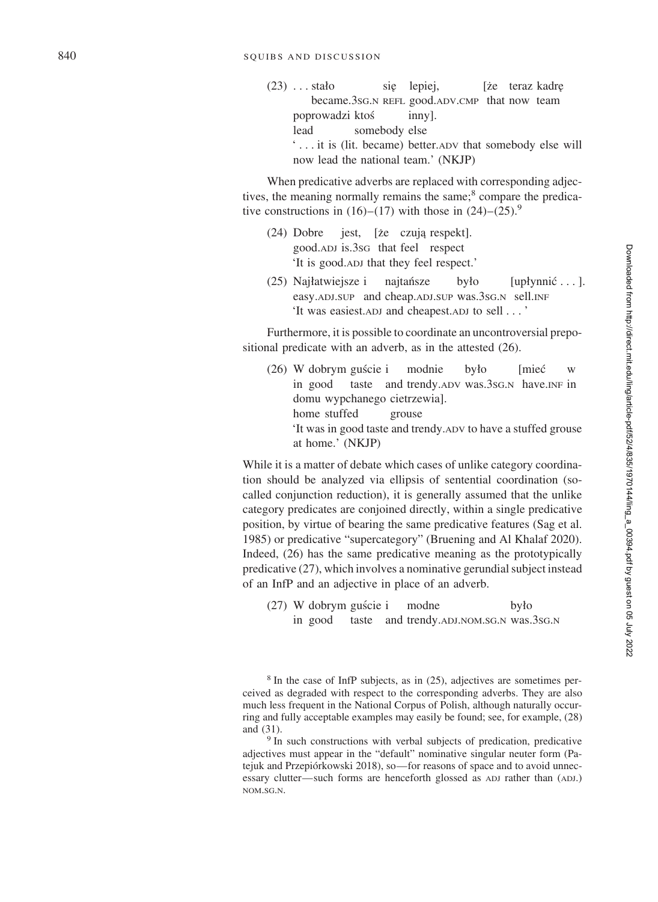$(23)$  . . . stało sie lepiej, [że teraz kadre became.3SG .N REFL good.ADV .CMP that now team poprowadzi ktos´ inny]. lead somebody else ' . . . it is (lit. became) better.ADV that somebody else will now lead the national team.' (NKJP)

When predicative adverbs are replaced with corresponding adjectives, the meaning normally remains the same;<sup>8</sup> compare the predicative constructions in  $(16)$ – $(17)$  with those in  $(24)$ – $(25)$ .<sup>9</sup>

- $(24)$  Dobre jest, [ $\bar{z}$ e czują respekt]. good.ADJ is.3SG that feel respect 'It is good.ADJ that they feel respect.'
- (25) Najłatwiejsze i najtańsze by *lo* [upłynnić . . . ]. easy.ADJ.SUP and cheap.ADJ.SUP was.3sG.N sell.INF 'It was easiest.ADJ and cheapest.ADJ to sell . . . '

Furthermore, it is possible to coordinate an uncontroversial prepositional predicate with an adverb, as in the attested (26).

 $(26)$  W dobrym guście i modnie było **Imiec**<sup></sup> w in good taste and trendy. ADV was. 3sG.N have. INF in domu wypchanego cietrzewia]. home stuffed grouse 'It was in good taste and trendy.ADV to have a stuffed grouse at home.' (NKJP)

While it is a matter of debate which cases of unlike category coordination should be analyzed via ellipsis of sentential coordination (socalled conjunction reduction), it is generally assumed that the unlike category predicates are conjoined directly, within a single predicative position, by virtue of bearing the same predicative features (Sag et al. 1985) or predicative "supercategory" (Bruening and Al Khalaf 2020). Indeed, (26) has the same predicative meaning as the prototypically predicative (27), which involves a nominative gerundial subject instead of an InfP and an adjective in place of an adverb.

 $(27)$  W dobrym guście i modne Ø o in good taste and trendy.ADJ.NOM.SG.N was.3sG.N

<sup>8</sup> In the case of InfP subjects, as in (25), adjectives are sometimes perceived as degraded with respect to the corresponding adverbs. They are also much less frequent in the National Corpus of Polish, although naturally occurring and fully acceptable examples may easily be found; see, for example, (28) and  $(31)$ .<br><sup>9</sup> In such constructions with verbal subjects of predication, predicative

adjectives must appear in the "default" nominative singular neuter form (Patejuk and Przepiórkowski 2018), so—for reasons of space and to avoid unnecessary clutter—such forms are henceforth glossed as ADJ rather than (ADJ.) NOM.SG.N.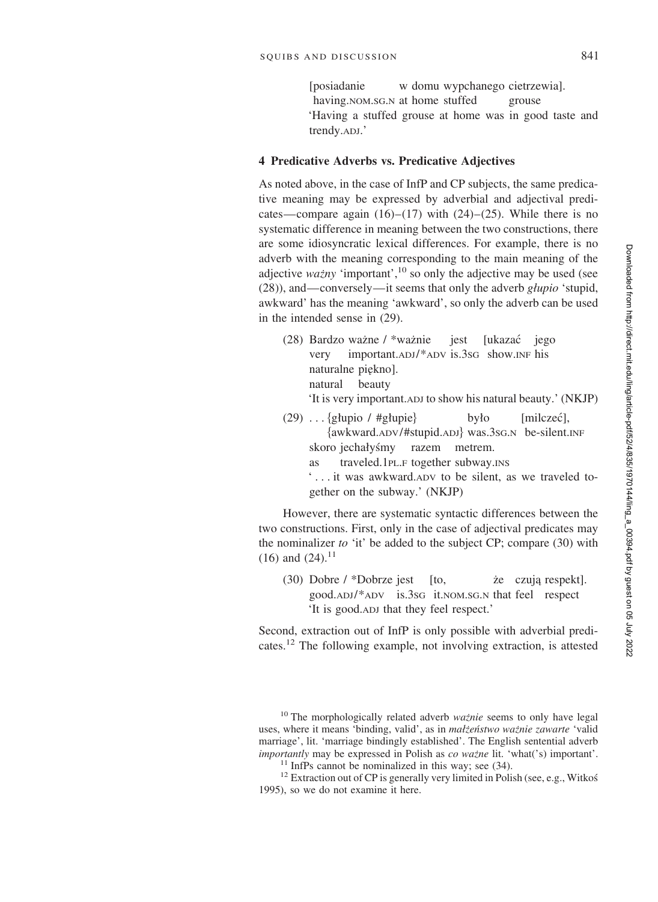[posiadanie w domu wypchanego cietrzewia]. having.NOM.SG.N at home stuffed grouse 'Having a stuffed grouse at home was in good taste and trendy.ADJ.'

# **4 Predicative Adverbs vs. Predicative Adjectives**

As noted above, in the case of InfP and CP subjects, the same predicative meaning may be expressed by adverbial and adjectival predicates—compare again  $(16)$ – $(17)$  with  $(24)$ – $(25)$ . While there is no systematic difference in meaning between the two constructions, there are some idiosyncratic lexical differences. For example, there is no adverb with the meaning corresponding to the main meaning of the adjective *ważny* 'important',<sup>10</sup> so only the adjective may be used (see (28)), and—conversely—it seems that only the adverb *glupio* 'stupid, awkward' has the meaning 'awkward', so only the adverb can be used in the intended sense in (29).

(28) Bardzo ważne / \*ważnie iest [ukazac´ jego very important.ADJ/\*ADV is.3SG show.INF his naturalne piekno]. natural beauty

'It is very important.ADJ to show his natural beauty.' (NKJP)

- (29) . . . {głupio / #głupie} było [milczeć], -awkward.ADV/#stupid.ADJ was.3SG.N be-silent.INF skoro jechałyśmy razem metrem.
	- as traveled.1PL.F together subway.INS
	- ' . . . it was awkward.ADV to be silent, as we traveled together on the subway.' (NKJP)

However, there are systematic syntactic differences between the two constructions. First, only in the case of adjectival predicates may the nominalizer *to* 'it' be added to the subject CP; compare (30) with  $(16)$  and  $(24)$ .<sup>11</sup>

(30) Dobre  $\ell$  \*Dobrze jest [to,  $\ell$  is czują respekt]. good.ADJ/\*ADV is.3SG it.NOM.SG.N that feel respect 'It is good.ADJ that they feel respect.'

Second, extraction out of InfP is only possible with adverbial predicates.<sup>12</sup> The following example, not involving extraction, is attested

<sup>&</sup>lt;sup>10</sup> The morphologically related adverb *waznie* seems to only have legal uses, where it means 'binding, valid', as in *małżeństwo ważnie zawarte* 'valid marriage', lit. 'marriage bindingly established'. The English sentential adverb *importantly* may be expressed in Polish as *co wazne* lit. 'what('s) important'.<br><sup>11</sup> InfPs cannot be nominalized in this way; see (34).<br><sup>12</sup> Extraction out of CP is generally very limited in Polish (see, e.g., Witkos

<sup>1995),</sup> so we do not examine it here.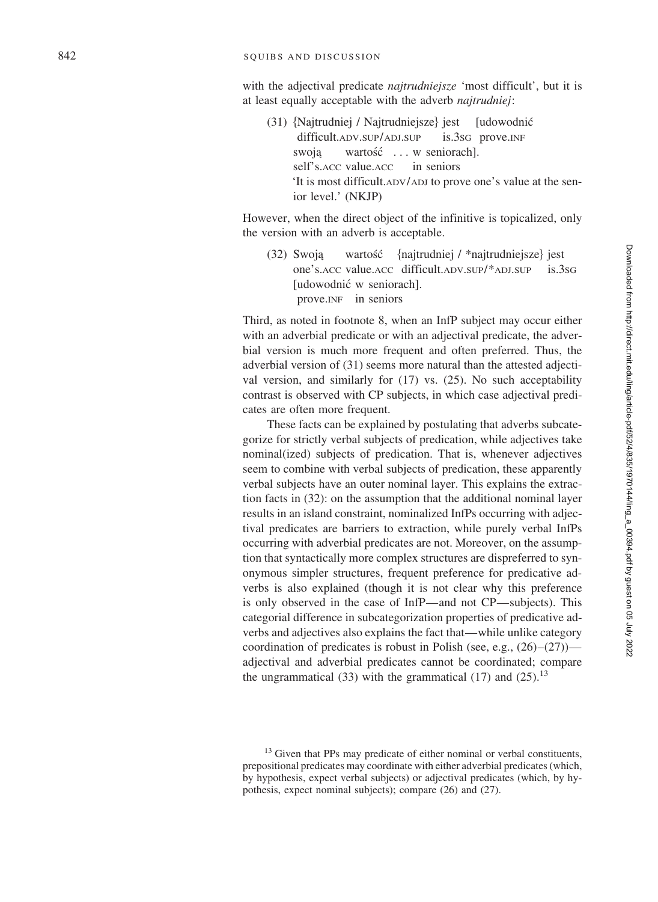with the adjectival predicate *najtrudniejsze* 'most difficult', but it is at least equally acceptable with the adverb *najtrudniej* :

(31) -Najtrudniej / Najtrudniejsze [udowodnić difficult.ADV .SUP /ADJ is.3sg prove.INF swoją wartość ... w seniorach]. self's. ACC value. ACC in seniors 'It is most difficult.ADV /ADJ to prove one's value at the senior level.' (NKJP)

However, when the direct object of the infinitive is topicalized, only the version with an adverb is acceptable.

 $(32)$  Swoja c´ -najtrudniej / \*najtrudniejsze jest one's.ACC value.ACC difficult.ADV .SUP/\*ADJ  $is.3sG$ [udowodnić w seniorach]. prove.INF in seniors

Third, as noted in footnote 8, when an InfP subject may occur either with an adverbial predicate or with an adjectival predicate, the adverbial version is much more frequent and often preferred. Thus, the adverbial version of (31) seems more natural than the attested adjectival version, and similarly for (17) vs. (25). No such acceptability contrast is observed with CP subjects, in which case adjectival predicates are often more frequent.

These facts can be explained by postulating that adverbs subcategorize for strictly verbal subjects of predication, while adjectives take nominal(ized) subjects of predication. That is, whenever adjectives seem to combine with verbal subjects of predication, these apparently verbal subjects have an outer nominal layer. This explains the extraction facts in (32): on the assumption that the additional nominal layer results in an island constraint, nominalized InfPs occurring with adjectival predicates are barriers to extraction, while purely verbal InfPs occurring with adverbial predicates are not. Moreover, on the assumption that syntactically more complex structures are dispreferred to synonymous simpler structures, frequent preference for predicative adverbs is also explained (though it is not clear why this preference is only observed in the case of InfP—and not CP—subjects). This categorial difference in subcategorization properties of predicative adverbs and adjectives also explains the fact that—while unlike category coordination of predicates is robust in Polish (see, e.g., (26)–(27)) adjectival and adverbial predicates cannot be coordinated; compare the ungrammatical (33) with the grammatical (17) and (25).<sup>13</sup>

<sup>&</sup>lt;sup>13</sup> Given that PPs may predicate of either nominal or verbal constituents, prepositional predicates may coordinate with either adverbial predicates (which, by hypothesis, expect verbal subjects) or adjectival predicates (which, by hypothesis, expect nominal subjects); compare (26) and (27).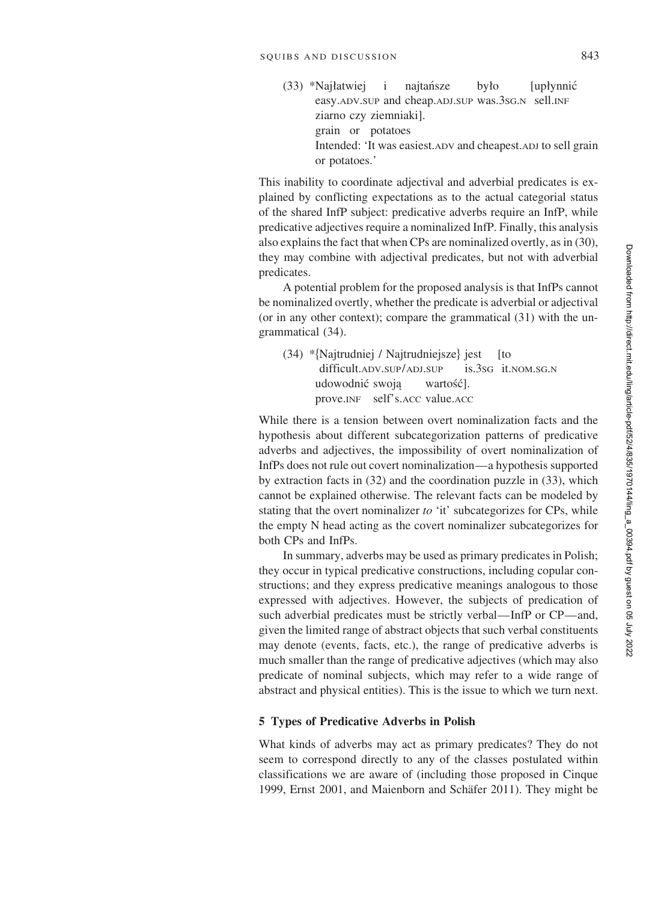$(33)$  \*Najłatwiej i najtańsze było [upłynnić easy.ADV.SUP and cheap.ADJ.SUP was.3SG.N sell.INF ziarno czy ziemniaki]. grain or potatoes Intended: 'It was easiest.ADV and cheapest.ADJ to sell grain or potatoes.'

This inability to coordinate adjectival and adverbial predicates is explained by conflicting expectations as to the actual categorial status of the shared InfP subject: predicative adverbs require an InfP, while predicative adjectives require a nominalized InfP. Finally, this analysis also explains the fact that when CPs are nominalized overtly, as in (30), they may combine with adjectival predicates, but not with adverbial predicates.

A potential problem for the proposed analysis is that InfPs cannot be nominalized overtly, whether the predicate is adverbial or adjectival (or in any other context); compare the grammatical (31) with the ungrammatical (34).

(34) \*{Najtrudniej / Najtrudniejsze} jest [to difficult.ADV.SUP/ADJ.SUP is.3sG it.NOM.SG.N udowodnić swoją wartość]. prove.INF self's.ACC value.ACC

While there is a tension between overt nominalization facts and the hypothesis about different subcategorization patterns of predicative adverbs and adjectives, the impossibility of overt nominalization of InfPs does not rule out covert nominalization—a hypothesis supported by extraction facts in (32) and the coordination puzzle in (33), which cannot be explained otherwise. The relevant facts can be modeled by stating that the overt nominalizer *to* 'it' subcategorizes for CPs, while the empty N head acting as the covert nominalizer subcategorizes for both CPs and InfPs.

In summary, adverbs may be used as primary predicates in Polish; they occur in typical predicative constructions, including copular constructions; and they express predicative meanings analogous to those expressed with adjectives. However, the subjects of predication of such adverbial predicates must be strictly verbal—InfP or CP—and, given the limited range of abstract objects that such verbal constituents may denote (events, facts, etc.), the range of predicative adverbs is much smaller than the range of predicative adjectives (which may also predicate of nominal subjects, which may refer to a wide range of abstract and physical entities). This is the issue to which we turn next.

#### **5 Types of Predicative Adverbs in Polish**

What kinds of adverbs may act as primary predicates? They do not seem to correspond directly to any of the classes postulated within classifications we are aware of (including those proposed in Cinque 1999, Ernst 2001, and Maienborn and Schäfer 2011). They might be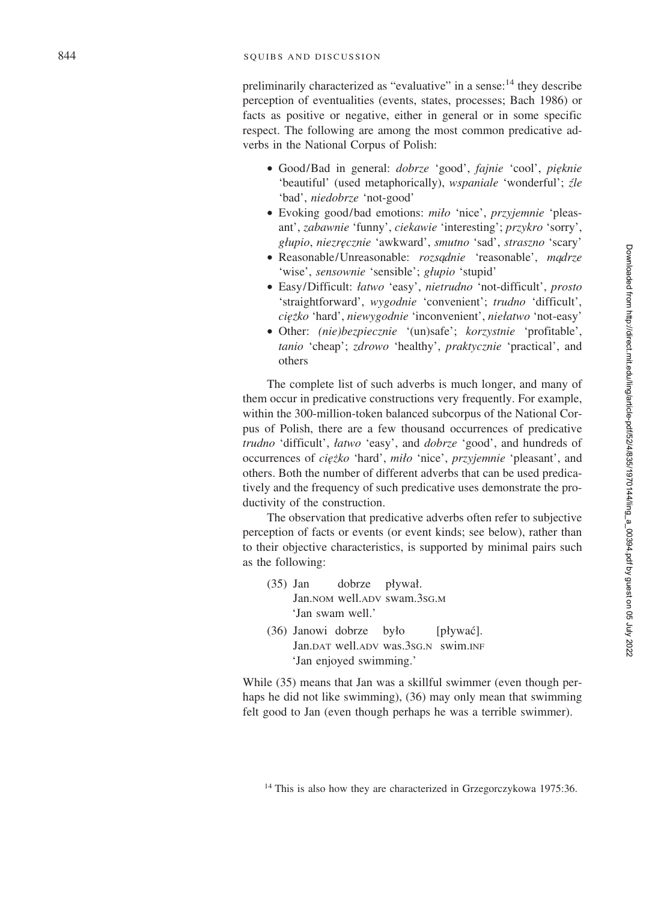preliminarily characterized as "evaluative" in a sense: $14$  they describe perception of eventualities (events, states, processes; Bach 1986) or facts as positive or negative, either in general or in some specific respect. The following are among the most common predicative adverbs in the National Corpus of Polish:

- Good/Bad in general: *dobrze* 'good', *fajnie* 'cool', *pie˛knie* 'beautiful' (used metaphorically), *wspaniale* 'wonderful'; *źle* 'bad', *niedobrze* 'not-good'
- Evoking good/bad emotions: *mi Øo* 'nice', *przyjemnie* 'pleasant', *zabawnie* 'funny', *ciekawie* 'interesting'; *przykro* 'sorry', *gØupio*, *niezre˛cznie* 'awkward', *smutno* 'sad', *straszno* 'scary'
- Reasonable/Unreasonable: *rozsądnie* 'reasonable', *mądrze* 'wise', sensownie 'sensible'; głupio 'stupid'
- Easy/Difficult: *Øatwo* 'easy', *nietrudno* 'not-difficult', *prosto* 'straightforward', *wygodnie* 'convenient'; *trudno* 'difficult', *cie˛ z˙ko* 'hard', *niewygodnie* 'inconvenient', *nie Øatwo* 'not-easy'
- Other: *(nie)bezpiecznie* '(un)safe'; *korzystnie* 'profitable', *tanio* 'cheap'; *zdrowo* 'healthy', *praktycznie* 'practical', and others

The complete list of such adverbs is much longer, and many of them occur in predicative constructions very frequently. For example, within the 300-million-token balanced subcorpus of the National Corpus of Polish, there are a few thousand occurrences of predicative *trudno* 'difficult', *łatwo* 'easy', and *dobrze* 'good', and hundreds of occurrences of *cie˛ z˙ko* 'hard', *mi Øo* 'nice', *przyjemnie* 'pleasant', and others. Both the number of different adverbs that can be used predicatively and the frequency of such predicative uses demonstrate the productivity of the construction.

The observation that predicative adverbs often refer to subjective perception of facts or events (or event kinds; see below), rather than to their objective characteristics, is supported by minimal pairs such as the following:

- (35) Jan dobrze ływał. Jan.nom well.adv swam.3sg.m 'Jan swam well.'
- (36) Janowi dobrze by ło [pływać]. Jan.DAT well.ADV was.3SG . N swim.INF 'Jan enjoyed swimming.'

While (35) means that Jan was a skillful swimmer (even though perhaps he did not like swimming), (36) may only mean that swimming felt good to Jan (even though perhaps he was a terrible swimmer).

 $14$  This is also how they are characterized in Grzegorczykowa 1975:36.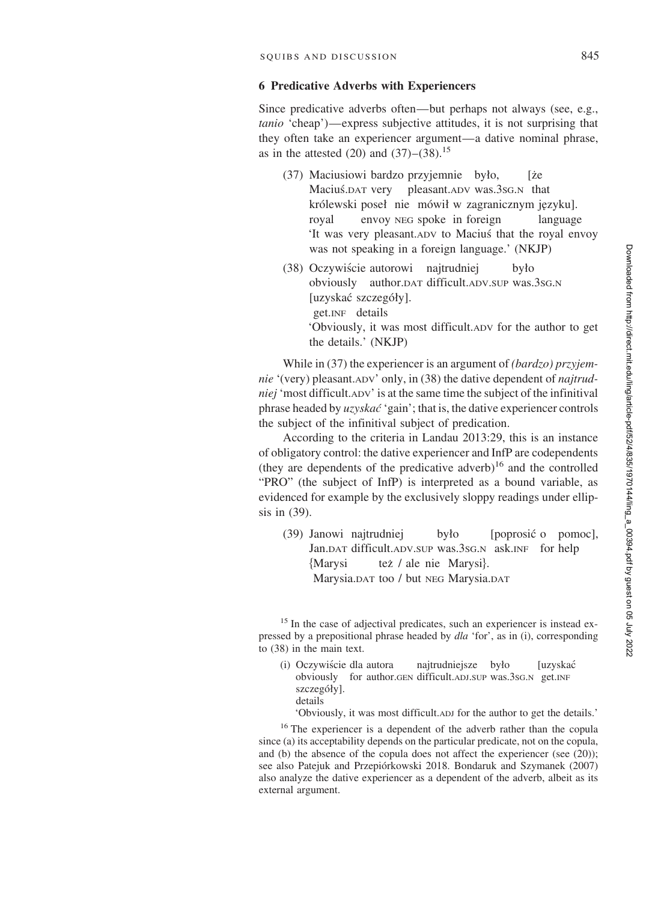## **6 Predicative Adverbs with Experiencers**

Since predicative adverbs often—but perhaps not always (see, e.g., *tanio* 'cheap')—express subjective attitudes, it is not surprising that they often take an experiencer argument—a dative nominal phrase, as in the attested  $(20)$  and  $(37)$ – $(38)$ .<sup>15</sup>

- $(37)$  Maciusiowi bardzo przyjemnie było, [że Maciuś.DAT very pleasant.ADV was.3sG.N that królewski poseł nie mówił w zagranicznym języku]. royal envoy NEG spoke in foreign language 'It was very pleasant.ADV to Macius´ that the royal envoy was not speaking in a foreign language.' (NKJP)
- (38) Oczywiście autorowi najtrudniej było obviously author.DAT difficult.ADV.SUP was.3SG.N [uzyskać szczegóły]. get.INF details 'Obviously, it was most difficult.ADV for the author to get the details.' (NKJP)

While in (37) the experiencer is an argument of *(bardzo) przyjemnie* '(very) pleasant.ADV' only, in (38) the dative dependent of *najtrudniej* 'most difficult.ADV' is at the same time the subject of the infinitival phrase headed by *uzyskac´* 'gain'; that is, the dative experiencer controls the subject of the infinitival subject of predication.

According to the criteria in Landau 2013:29, this is an instance of obligatory control: the dative experiencer and InfP are codependents (they are dependents of the predicative adverb)<sup>16</sup> and the controlled "PRO" (the subject of InfP) is interpreted as a bound variable, as evidenced for example by the exclusively sloppy readings under ellipsis in (39).

(39) Janowi najtrudniej było [poprosić o pomoc], Jan.DAT difficult.ADV.SUP was.3sG.N ask.INF for help {Marysi też / ale nie Marysi. Marysia.DAT too / but NEG Marysia.DAT

<sup>15</sup> In the case of adjectival predicates, such an experiencer is instead expressed by a prepositional phrase headed by *dla* 'for', as in (i), corresponding to (38) in the main text.

(i) Oczywiście dla autora najtrudniejsze było [uzyskać obviously for author.GEN difficult.ADJ.SUP was.3SG.N get.INF szczegóły]. details

'Obviously, it was most difficult.ADJ for the author to get the details.'

<sup>16</sup> The experiencer is a dependent of the adverb rather than the copula since (a) its acceptability depends on the particular predicate, not on the copula, and (b) the absence of the copula does not affect the experiencer (see (20)); see also Patejuk and Przepiórkowski 2018. Bondaruk and Szymanek (2007) also analyze the dative experiencer as a dependent of the adverb, albeit as its external argument.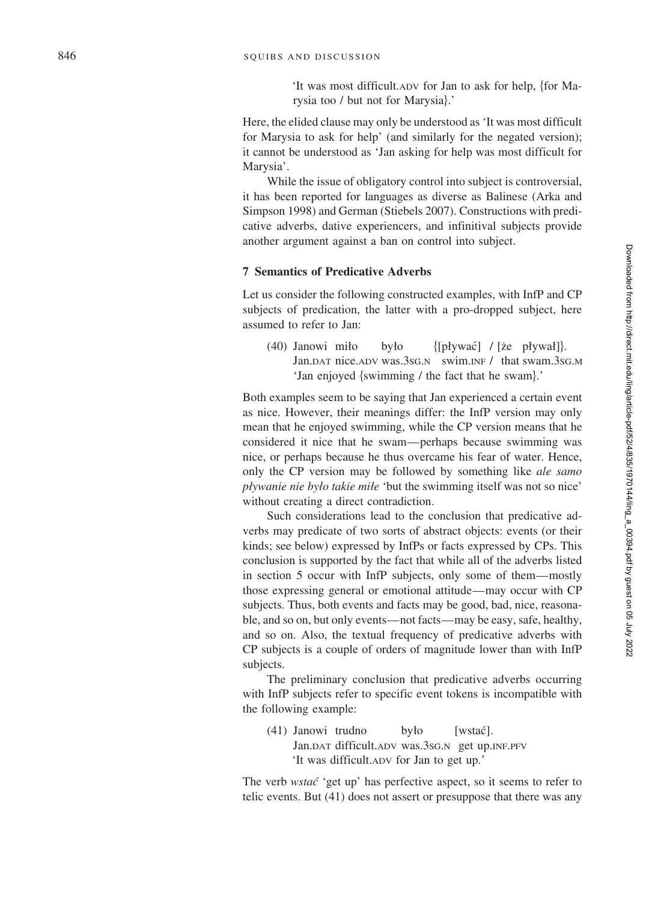'It was most difficult. ADV for Jan to ask for help, {for Marysia too / but not for Marysia}.'

Here, the elided clause may only be understood as 'It was most difficult for Marysia to ask for help' (and similarly for the negated version); it cannot be understood as 'Jan asking for help was most difficult for Marysia'.

While the issue of obligatory control into subject is controversial, it has been reported for languages as diverse as Balinese (Arka and Simpson 1998) and German (Stiebels 2007). Constructions with predicative adverbs, dative experiencers, and infinitival subjects provide another argument against a ban on control into subject.

## **7 Semantics of Predicative Adverbs**

Let us consider the following constructed examples, with InfP and CP subjects of predication, the latter with a pro-dropped subject, here assumed to refer to Jan:

(40) Janowi mi ło było {[pływać] / [że pływał]}. Jan.DAT nice.ADV was.3sG.N swim.INF / that swam.3sG.M 'Jan enjoyed {swimming / the fact that he swam}.'

Both examples seem to be saying that Jan experienced a certain event as nice. However, their meanings differ: the InfP version may only mean that he enjoyed swimming, while the CP version means that he considered it nice that he swam—perhaps because swimming was nice, or perhaps because he thus overcame his fear of water. Hence, only the CP version may be followed by something like *ale samo pØywanie nie byØo takie miØe* 'but the swimming itself was not so nice' without creating a direct contradiction.

Such considerations lead to the conclusion that predicative adverbs may predicate of two sorts of abstract objects: events (or their kinds; see below) expressed by InfPs or facts expressed by CPs. This conclusion is supported by the fact that while all of the adverbs listed in section 5 occur with InfP subjects, only some of them—mostly those expressing general or emotional attitude—may occur with CP subjects. Thus, both events and facts may be good, bad, nice, reasonable, and so on, but only events—not facts—may be easy, safe, healthy, and so on. Also, the textual frequency of predicative adverbs with CP subjects is a couple of orders of magnitude lower than with InfP subjects.

The preliminary conclusion that predicative adverbs occurring with InfP subjects refer to specific event tokens is incompatible with the following example:

(41) Janowi trudno by [wstać]. Jan.DAT difficult.ADV was.3SG . N get up.INF .PFV 'It was difficult.ADV for Jan to get up.'

The verb *wstac´* 'get up' has perfective aspect, so it seems to refer to telic events. But (41) does not assert or presuppose that there was any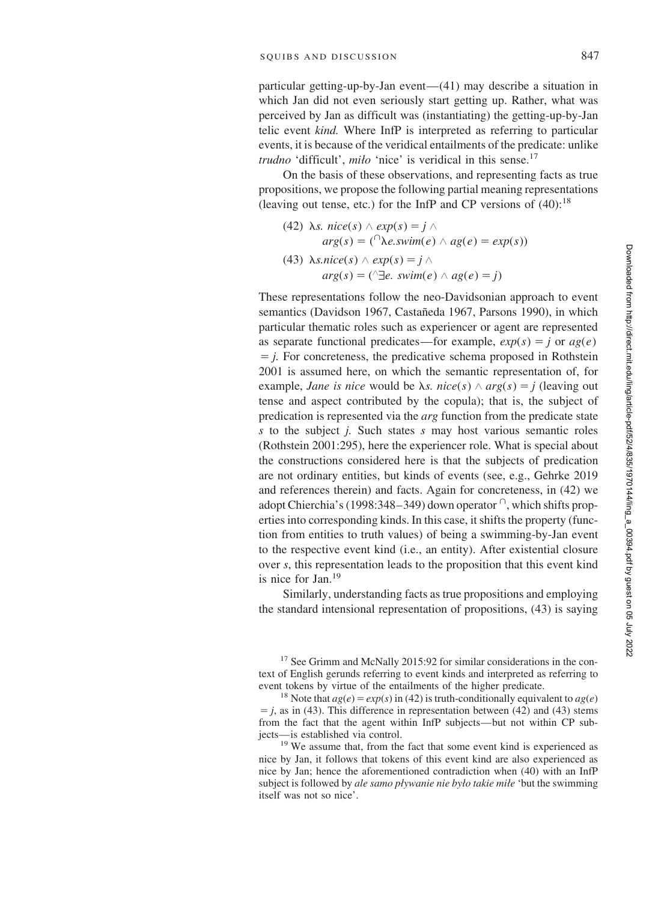particular getting-up-by-Jan event—(41) may describe a situation in which Jan did not even seriously start getting up. Rather, what was perceived by Jan as difficult was (instantiating) the getting-up-by-Jan telic event *kind.* Where InfP is interpreted as referring to particular events, it is because of the veridical entailments of the predicate: unlike *trudno* 'difficult', *milo* 'nice' is veridical in this sense.<sup>17</sup>

On the basis of these observations, and representing facts as true propositions, we propose the following partial meaning representations (leaving out tense, etc.) for the InfP and CP versions of  $(40)$ :<sup>18</sup>

(42) 
$$
\lambda s
$$
.  $nice(s) \wedge exp(s) = j \wedge arg(s) = (\bigcap k e, swim(e) \wedge ag(e) = exp(s))$   
(43)  $\lambda s.nice(s) \wedge exp(s) = j \wedge arg(s) = (\bigcap k e, swim(e) \wedge ag(e) = j)$ 

These representations follow the neo-Davidsonian approach to event semantics (Davidson 1967, Castañeda 1967, Parsons 1990), in which particular thematic roles such as experiencer or agent are represented as separate functional predicates—for example,  $exp(s) = j$  or  $age()$  $\dot{p}$ . For concreteness, the predicative schema proposed in Rothstein 2001 is assumed here, on which the semantic representation of, for example, *Jane is nice* would be  $\lambda s$ . *nice*(*s*)  $\land$  *arg*(*s*) = *j* (leaving out tense and aspect contributed by the copula); that is, the subject of predication is represented via the *arg* function from the predicate state *s* to the subject *j.* Such states *s* may host various semantic roles (Rothstein 2001:295), here the experiencer role. What is special about the constructions considered here is that the subjects of predication are not ordinary entities, but kinds of events (see, e.g., Gehrke 2019 and references therein) and facts. Again for concreteness, in (42) we adopt Chierchia's (1998:348-349) down operator  $\cap$ , which shifts properties into corresponding kinds. In this case, it shifts the property (function from entities to truth values) of being a swimming-by-Jan event to the respective event kind (i.e., an entity). After existential closure over *s*, this representation leads to the proposition that this event kind is nice for Jan.<sup>19</sup>

Similarly, understanding facts as true propositions and employing the standard intensional representation of propositions, (43) is saying

<sup>17</sup> See Grimm and McNally 2015:92 for similar considerations in the context of English gerunds referring to event kinds and interpreted as referring to event tokens by virtue of the entailments of the higher predicate.<br><sup>18</sup> Note that  $ag(e) = exp(s)$  in (42) is truth-conditionally equivalent to  $ag(e)$ 

 $j$ , as in (43). This difference in representation between (42) and (43) stems from the fact that the agent within InfP subjects—but not within CP subjects—is established via control. <sup>19</sup> We assume that, from the fact that some event kind is experienced as

nice by Jan, it follows that tokens of this event kind are also experienced as nice by Jan; hence the aforementioned contradiction when (40) with an InfP subject is followed by *ale samo pływanie nie było takie miłe* 'but the swimming itself was not so nice'.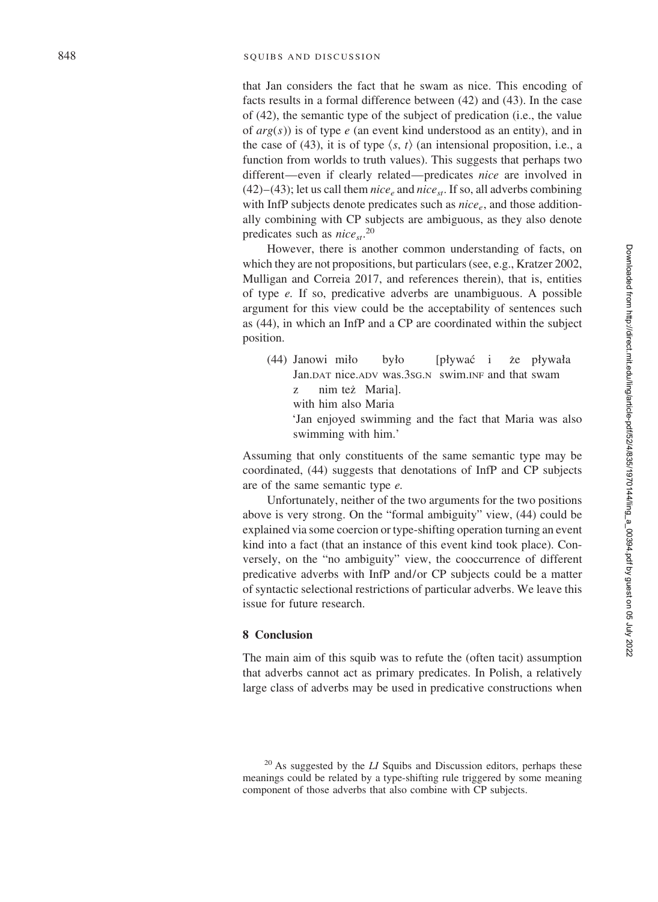that Jan considers the fact that he swam as nice. This encoding of facts results in a formal difference between (42) and (43). In the case of (42), the semantic type of the subject of predication (i.e., the value of *arg* ( *s*)) is of type *e* (an event kind understood as an entity), and in the case of (43), it is of type  $\langle s, t \rangle$  (an intensional proposition, i.e., a function from worlds to truth values). This suggests that perhaps two different—even if clearly related—predicates *nice* are involved in  $(42)$ – $(43)$ ; let us call them *nice*<sub>e</sub> and *nice*<sub>st</sub>. If so, all adverbs combining with InfP subjects denote predicates such as *nice e*, and those additionally combining with CP subjects are ambiguous, as they also denote predicates such as *nice<sub>st</sub>*.<sup>20</sup>

However, there is another common understanding of facts, on which they are not propositions, but particulars (see, e.g., Kratzer 2002, Mulligan and Correia 2017, and references therein), that is, entities of type *e.* If so, predicative adverbs are unambiguous. A possible argument for this view could be the acceptability of sentences such as (44), in which an InfP and a CP are coordinated within the subject position.

(44) Janowi mi by*l*<sup>o</sup> ło [pływać i że p ływała Jan. DAT nice. ADV was. 3sG. N swim. INF and that swam z nim tez˙ Maria]. with him also Maria 'Jan enjoyed swimming and the fact that Maria was also swimming with him.'

Assuming that only constituents of the same semantic type may be coordinated, (44) suggests that denotations of InfP and CP subjects are of the same semantic type *e.*

Unfortunately, neither of the two arguments for the two positions above is very strong. On the "formal ambiguity" view, (44) could be explained via some coercion or type-shifting operation turning an event kind into a fact (that an instance of this event kind took place). Conversely, on the "no ambiguity" view, the cooccurrence of different predicative adverbs with InfP and/or CP subjects could be a matter of syntactic selectional restrictions of particular adverbs. We leave this issue for future research.

## **8 Conclusion**

The main aim of this squib was to refute the (often tacit) assumption that adverbs cannot act as primary predicates. In Polish, a relatively large class of adverbs may be used in predicative constructions when

<sup>20</sup> As suggested by the *LI* Squibs and Discussion editors, perhaps these meanings could be related by a type-shifting rule triggered by some meaning component of those adverbs that also combine with CP subjects.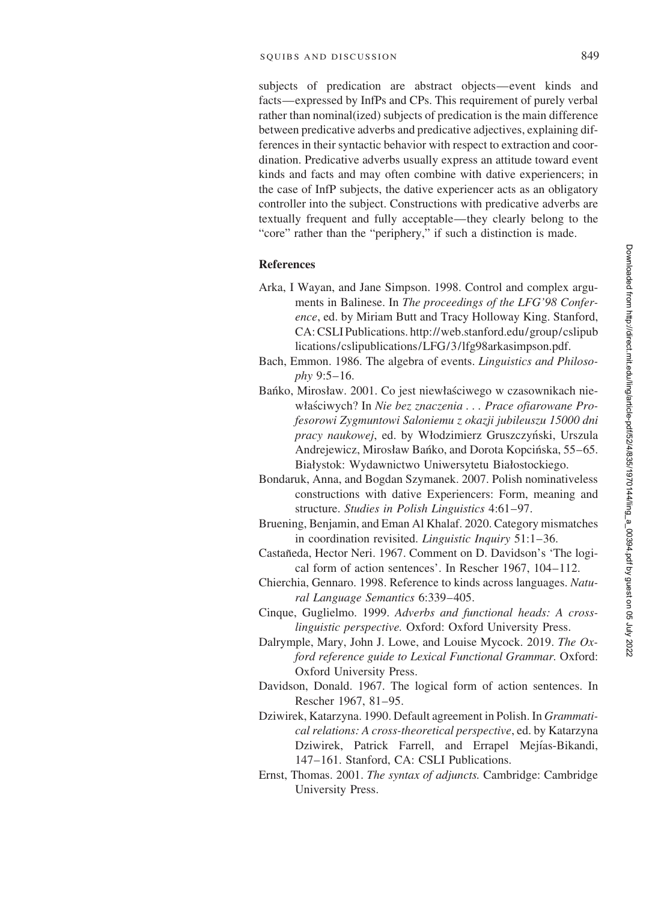subjects of predication are abstract objects—event kinds and facts—expressed by InfPs and CPs. This requirement of purely verbal rather than nominal(ized) subjects of predication is the main difference between predicative adverbs and predicative adjectives, explaining differences in their syntactic behavior with respect to extraction and coordination. Predicative adverbs usually express an attitude toward event kinds and facts and may often combine with dative experiencers; in the case of InfP subjects, the dative experiencer acts as an obligatory controller into the subject. Constructions with predicative adverbs are textually frequent and fully acceptable—they clearly belong to the "core" rather than the "periphery," if such a distinction is made.

#### **References**

- Arka, I Wayan, and Jane Simpson. 1998. Control and complex arguments in Balinese. In *The proceedings of the LFG'98 Conference*, ed. by Miriam Butt and Tracy Holloway King. Stanford, CA: CSLI Publications. http://web.stanford.edu/group/cslipub lications/cslipublications/LFG/3/lfg98arkasimpson.pdf.
- Bach, Emmon. 1986. The algebra of events. *Linguistics and Philosophy* 9:5–16.
- Bańko, Mirosław. 2001. Co jest niewłaściwego w czasownikach niewłaściwych? In *Nie bez znaczenia . . . Prace ofiarowane Profesorowi Zygmuntowi Saloniemu z okazji jubileuszu 15000 dni pracy naukowej*, ed. by Włodzimierz Gruszczyński, Urszula Andrejewicz, Mirosław Bańko, and Dorota Kopcińska, 55–65. Białystok: Wydawnictwo Uniwersytetu Białostockiego.
- Bondaruk, Anna, and Bogdan Szymanek. 2007. Polish nominativeless constructions with dative Experiencers: Form, meaning and structure. *Studies in Polish Linguistics* 4:61–97.
- Bruening, Benjamin, and Eman Al Khalaf. 2020. Category mismatches in coordination revisited. *Linguistic Inquiry* 51:1–36.
- Castañeda, Hector Neri. 1967. Comment on D. Davidson's 'The logical form of action sentences'. In Rescher 1967, 104–112.
- Chierchia, Gennaro. 1998. Reference to kinds across languages. *Natural Language Semantics* 6:339–405.
- Cinque, Guglielmo. 1999. *Adverbs and functional heads: A crosslinguistic perspective.* Oxford: Oxford University Press.
- Dalrymple, Mary, John J. Lowe, and Louise Mycock. 2019. *The Oxford reference guide to Lexical Functional Grammar.* Oxford: Oxford University Press.
- Davidson, Donald. 1967. The logical form of action sentences. In Rescher 1967, 81–95.
- Dziwirek, Katarzyna. 1990. Default agreement in Polish. In *Grammatical relations: A cross-theoretical perspective*, ed. by Katarzyna Dziwirek, Patrick Farrell, and Errapel Mejías-Bikandi, 147–161. Stanford, CA: CSLI Publications.
- Ernst, Thomas. 2001. *The syntax of adjuncts.* Cambridge: Cambridge University Press.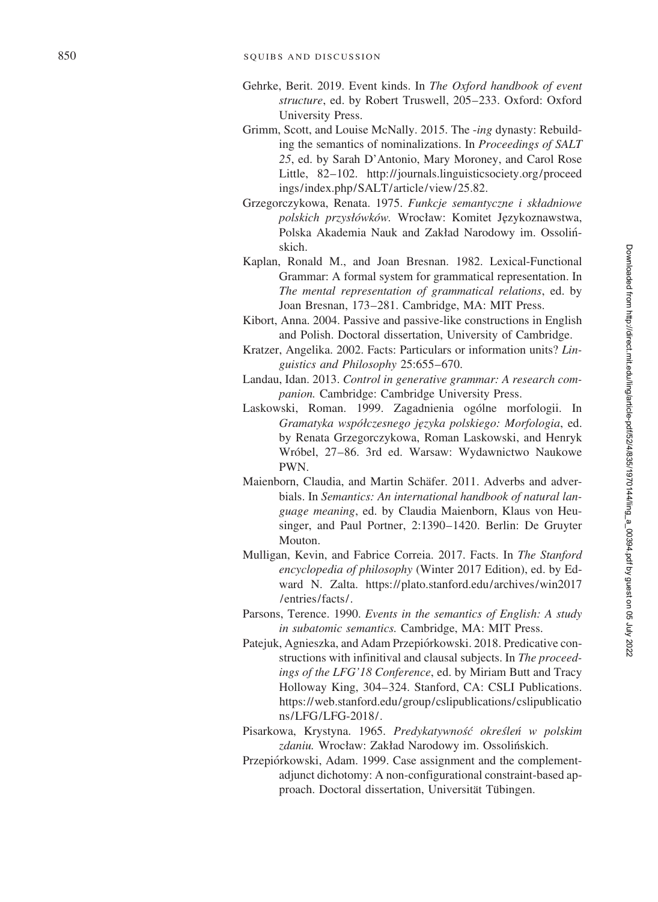- Gehrke, Berit. 2019. Event kinds. In *The Oxford handbook of event structure*, ed. by Robert Truswell, 205–233. Oxford: Oxford University Press.
- Grimm, Scott, and Louise McNally. 2015. The -*ing* dynasty: Rebuilding the semantics of nominalizations. In *Proceedings of SALT 25*, ed. by Sarah D'Antonio, Mary Moroney, and Carol Rose Little, 82–102. http://journals.linguisticsociety.org/proceed ings/index.php/SALT/article/view/25.82.
- Grzegorczykowa, Renata. 1975. *Funkcje semantyczne i składniowe* polskich przysłówków. Wrocław: Komitet Językoznawstwa, Polska Akademia Nauk and Zakład Narodowy im. Ossolińskich.
- Kaplan, Ronald M., and Joan Bresnan. 1982. Lexical-Functional Grammar: A formal system for grammatical representation. In *The mental representation of grammatical relations*, ed. by Joan Bresnan, 173–281. Cambridge, MA: MIT Press.
- Kibort, Anna. 2004. Passive and passive-like constructions in English and Polish. Doctoral dissertation, University of Cambridge.
- Kratzer, Angelika. 2002. Facts: Particulars or information units? *Linguistics and Philosophy* 25:655–670.
- Landau, Idan. 2013. *Control in generative grammar: A research companion.* Cambridge: Cambridge University Press.
- Laskowski, Roman. 1999. Zagadnienia ogólne morfologii. In *Gramatyka wspo´ Øczesnego je˛zyka polskiego: Morfologia*, ed. by Renata Grzegorczykowa, Roman Laskowski, and Henryk Wróbel, 27-86. 3rd ed. Warsaw: Wydawnictwo Naukowe PWN.
- Maienborn, Claudia, and Martin Schäfer. 2011. Adverbs and adverbials. In *Semantics: An international handbook of natural language meaning*, ed. by Claudia Maienborn, Klaus von Heusinger, and Paul Portner, 2:1390–1420. Berlin: De Gruyter Mouton.
- Mulligan, Kevin, and Fabrice Correia. 2017. Facts. In *The Stanford encyclopedia of philosophy* (Winter 2017 Edition), ed. by Edward N. Zalta. https://plato.stanford.edu/archives/win2017 /entries/facts/.
- Parsons, Terence. 1990. *Events in the semantics of English: A study in subatomic semantics.* Cambridge, MA: MIT Press.
- Patejuk, Agnieszka, and Adam Przepiórkowski. 2018. Predicative constructions with infinitival and clausal subjects. In *The proceedings of the LFG'18 Conference*, ed. by Miriam Butt and Tracy Holloway King, 304–324. Stanford, CA: CSLI Publications. https://web.stanford.edu/group/cslipublications/cslipublicatio ns/LFG/LFG-2018/.
- Pisarkowa, Krystyna. 1965. *Predykatywnos´c´ okres´len´ w polskim* zdaniu. Wrocław: Zakład Narodowy im. Ossolińskich.
- Przepiórkowski, Adam. 1999. Case assignment and the complementadjunct dichotomy: A non-configurational constraint-based approach. Doctoral dissertation, Universität Tübingen.